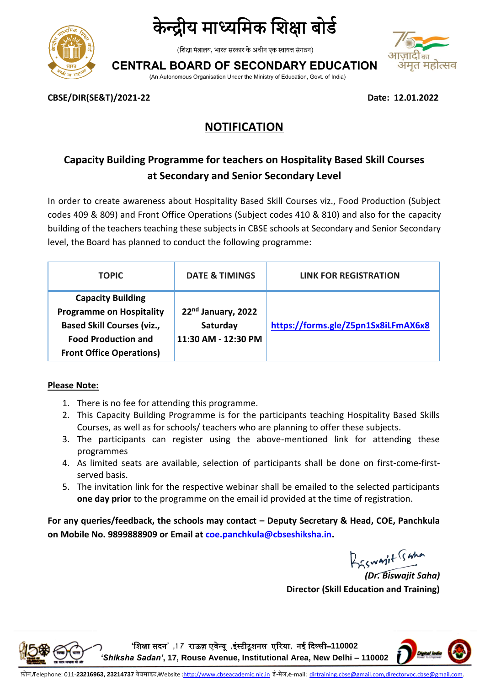



(शिक्षा मंत्रालय, भारत सरकार के अधीन एक स्वायत्त संगठन)

**CENTRAL BOARD OF SECONDARY EDUCATION**





**CBSE/DIR(SE&T)/2021-22 Date: 12.01.2022**

## **NOTIFICATION**

## **Capacity Building Programme for teachers on Hospitality Based Skill Courses at Secondary and Senior Secondary Level**

In order to create awareness about Hospitality Based Skill Courses viz., Food Production (Subject codes 409 & 809) and Front Office Operations (Subject codes 410 & 810) and also for the capacity building of the teachers teaching these subjects in CBSE schools at Secondary and Senior Secondary level, the Board has planned to conduct the following programme:

| <b>TOPIC</b>                                                                                                                                                      | <b>DATE &amp; TIMINGS</b>                             | <b>LINK FOR REGISTRATION</b>        |
|-------------------------------------------------------------------------------------------------------------------------------------------------------------------|-------------------------------------------------------|-------------------------------------|
| <b>Capacity Building</b><br><b>Programme on Hospitality</b><br><b>Based Skill Courses (viz.,</b><br><b>Food Production and</b><br><b>Front Office Operations)</b> | 22nd January, 2022<br>Saturday<br>11:30 AM - 12:30 PM | https://forms.gle/Z5pn1Sx8iLFmAX6x8 |

#### **Please Note:**

- 1. There is no fee for attending this programme.
- 2. This Capacity Building Programme is for the participants teaching Hospitality Based Skills Courses, as well as for schools/ teachers who are planning to offer these subjects.
- 3. The participants can register using the above-mentioned link for attending these programmes
- 4. As limited seats are available, selection of participants shall be done on first-come-firstserved basis.
- 5. The invitation link for the respective webinar shall be emailed to the selected participants **one day prior** to the programme on the email id provided at the time of registration.

**For any queries/feedback, the schools may contact – Deputy Secretary & Head, COE, Panchkula on Mobile No. 9899888909 or Email at [coe.panchkula@cbseshiksha.in.](mailto:coe.panchkula@cbseshiksha.in)** 

Biswayit Taha

*(Dr. Biswajit Saha)* **Director (Skill Education and Training)**

**'**शिक्षा सदन**' ,1 7** राऊज़ एवेन्यू **,**इंस्टीटूिनल एररया**,** नई ददल्ली–**110002**  *'Shiksha Sadan'***, 17, Rouse Avenue, Institutional Area, New Delhi – 110002**